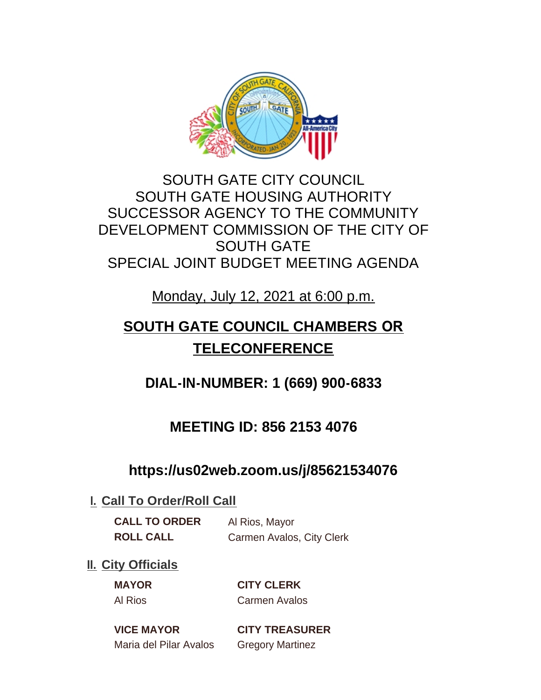

## SOUTH GATE CITY COUNCIL SOUTH GATE HOUSING AUTHORITY SUCCESSOR AGENCY TO THE COMMUNITY DEVELOPMENT COMMISSION OF THE CITY OF SOUTH GATE SPECIAL JOINT BUDGET MEETING AGENDA

Monday, July 12, 2021 at 6:00 p.m.

# **SOUTH GATE COUNCIL CHAMBERS OR TELECONFERENCE**

**DIAL-IN-NUMBER: 1 (669) 900-6833**

## **MEETING ID: 856 2153 4076**

## **https://us02web.zoom.us/j/85621534076**

### **I. Call To Order/Roll Call**

**CALL TO ORDER** Al Rios, Mayor

**ROLL CALL** Carmen Avalos, City Clerk

### **II.** City Officials

**MAYOR CITY CLERK** Al Rios Carmen Avalos

Maria del Pilar Avalos Gregory Martinez

**VICE MAYOR CITY TREASURER**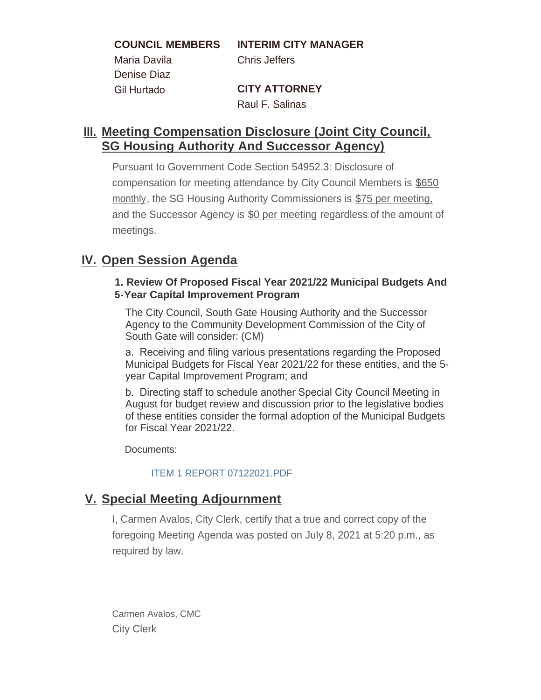**COUNCIL MEMBERS INTERIM CITY MANAGER**

Maria Davila Chris Jeffers Denise Diaz

Gil Hurtado **CITY ATTORNEY** Raul F. Salinas

#### **Meeting Compensation Disclosure (Joint City Council, III. SG Housing Authority And Successor Agency)**

Pursuant to Government Code Section 54952.3: Disclosure of compensation for meeting attendance by City Council Members is \$650 monthly, the SG Housing Authority Commissioners is \$75 per meeting. and the Successor Agency is \$0 per meeting regardless of the amount of meetings.

#### **IV.** Open Session Agenda

#### **1. Review Of Proposed Fiscal Year 2021/22 Municipal Budgets And 5-Year Capital Improvement Program**

The City Council, South Gate Housing Authority and the Successor Agency to the Community Development Commission of the City of South Gate will consider: (CM)

a. Receiving and filing various presentations regarding the Proposed Municipal Budgets for Fiscal Year 2021/22 for these entities, and the 5 year Capital Improvement Program; and

b. Directing staff to schedule another Special City Council Meeting in August for budget review and discussion prior to the legislative bodies of these entities consider the formal adoption of the Municipal Budgets for Fiscal Year 2021/22.

Documents:

#### ITEM 1 REPORT 07122021.PDF

#### **Special Meeting Adjournment V.**

I, Carmen Avalos, City Clerk, certify that a true and correct copy of the foregoing Meeting Agenda was posted on July 8, 2021 at 5:20 p.m., as required by law.

Carmen Avalos, CMC City Clerk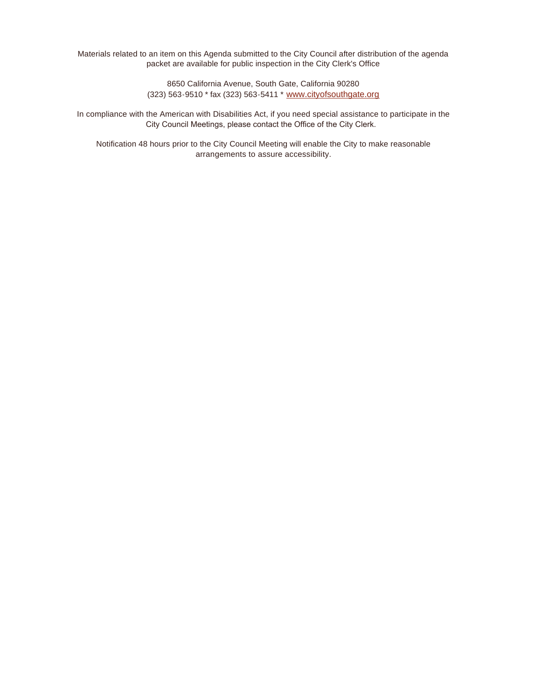Materials related to an item on this Agenda submitted to the City Council after distribution of the agenda packet are available for public inspection in the City Clerk's Office

> 8650 California Avenue, South Gate, California 90280 (323) 563-9510 \* fax (323) 563-5411 \* [www.cityofsouthgate.org](http://www.cityofsouthgate.org/)

In compliance with the American with Disabilities Act, if you need special assistance to participate in the City Council Meetings, please contact the Office of the City Clerk.

Notification 48 hours prior to the City Council Meeting will enable the City to make reasonable arrangements to assure accessibility.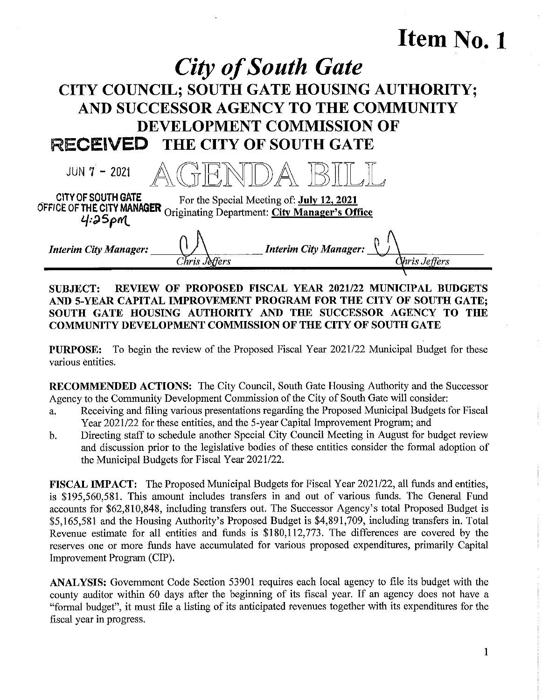# Item No. 1

# **City of South Gate** CITY COUNCIL; SOUTH GATE HOUSING AUTHORITY; AND SUCCESSOR AGENCY TO THE COMMUNITY DEVELOPMENT COMMISSION OF RECEIVED THE CITY OF SOUTH GATE

| $JUN 7 - 2021$                                  |         |                                                                                                                       |               |
|-------------------------------------------------|---------|-----------------------------------------------------------------------------------------------------------------------|---------------|
| <b>CITY OF SOUTH GATE</b><br>4.25 <sub>PM</sub> |         | For the Special Meeting of: July 12, 2021<br>OFFICE OF THE CITY MANAGER Originating Department: City Manager's Office |               |
| <b>Interim City Manager:</b>                    | Deffers | <b>Interim City Manager:</b>                                                                                          | Xhris Jeffers |

#### SUBJECT: REVIEW OF PROPOSED FISCAL YEAR 2021/22 MUNICIPAL BUDGETS AND 5-YEAR CAPITAL IMPROVEMENT PROGRAM FOR THE CITY OF SOUTH GATE; SOUTH GATE HOUSING AUTHORITY AND THE SUCCESSOR AGENCY TO THE COMMUNITY DEVELOPMENT COMMISSION OF THE CITY OF SOUTH GATE

PURPOSE: To begin the review of the Proposed Fiscal Year 2021/22 Municipal Budget for these various entities.

RECOMMENDED ACTIONS: The City Council, South Gate Housing Authority and the Successor Agency to the Community Development Commission of the City of South Gate will consider:

- a. Receiving and filing various presentations regarding the Proposed Municipal Budgets for Fiscal Year 2021/22 for these entities, and the 5-year Capital Improvement Program; and
- b. Directing staff to schedule another Special City Council Meeting in August for budget review and discussion prior to the legislative bodies of these entities consider the formal adoption of the Municipal Budgets for Fiscal Year 2021/22.

FISCAL IMPACT: The Proposed Municipal Budgets for Fiscal Year 2021/22, all funds and entities, is \$195,560,581. This amount includes transfers in and out of various funds. The General Fund accounts for \$62,810,848, including transfers out. The Successor Agency's total Proposed Budget is \$5,165,581 and the Housing Authority's Proposed Budget is \$4,891,709, including transfers in, Total Revenue estimate for all entities and funds is \$180,112,773. The differences are covered by the reserves one or more funds have accumulated for various proposed expenditures, primarily Capital Improvement Program (CIP).

ANALYSIS: Government Code Section 53901 requires each local agency to file its budget with the county auditor within 60 days after the beginning of its fiscal year. If an agency does not have a "formal budget", it must file a listing of its anticipated revenues together with its expenditures for the fiscal year in progress.